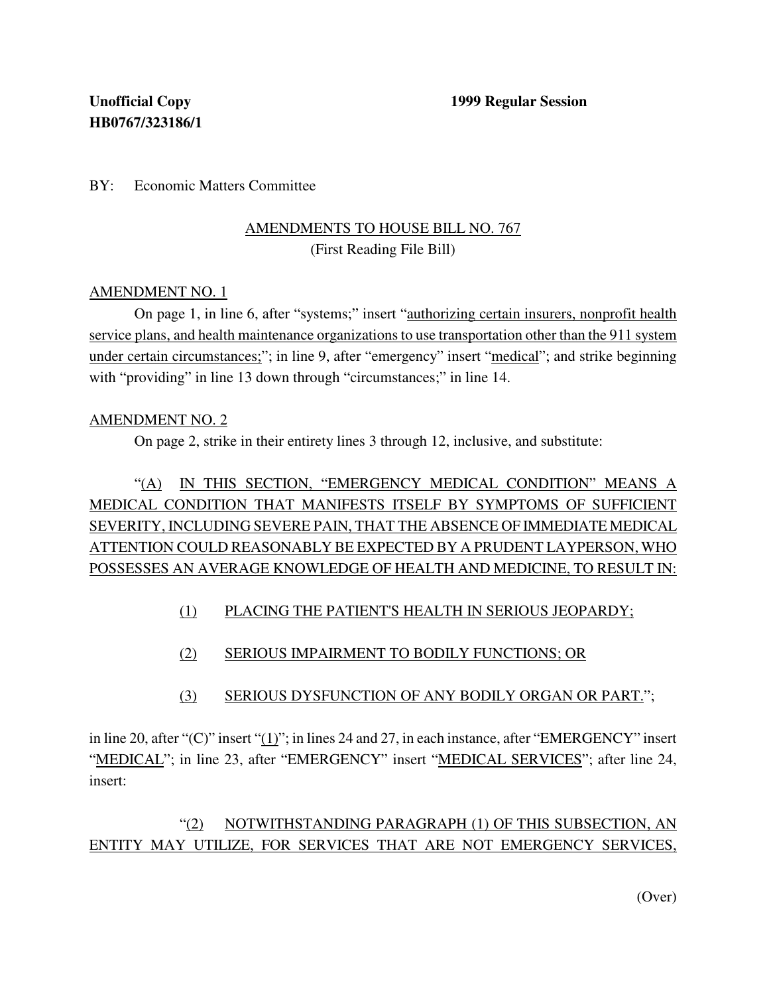BY: Economic Matters Committee

### AMENDMENTS TO HOUSE BILL NO. 767 (First Reading File Bill)

#### AMENDMENT NO. 1

On page 1, in line 6, after "systems;" insert "authorizing certain insurers, nonprofit health service plans, and health maintenance organizations to use transportation other than the 911 system under certain circumstances;"; in line 9, after "emergency" insert "medical"; and strike beginning with "providing" in line 13 down through "circumstances;" in line 14.

#### AMENDMENT NO. 2

On page 2, strike in their entirety lines 3 through 12, inclusive, and substitute:

# "(A) IN THIS SECTION, "EMERGENCY MEDICAL CONDITION" MEANS A MEDICAL CONDITION THAT MANIFESTS ITSELF BY SYMPTOMS OF SUFFICIENT SEVERITY, INCLUDING SEVERE PAIN, THAT THE ABSENCE OF IMMEDIATE MEDICAL ATTENTION COULD REASONABLY BE EXPECTED BY A PRUDENT LAYPERSON, WHO POSSESSES AN AVERAGE KNOWLEDGE OF HEALTH AND MEDICINE, TO RESULT IN:

- (1) PLACING THE PATIENT'S HEALTH IN SERIOUS JEOPARDY;
- (2) SERIOUS IMPAIRMENT TO BODILY FUNCTIONS; OR
- (3) SERIOUS DYSFUNCTION OF ANY BODILY ORGAN OR PART.";

in line 20, after "(C)" insert "(1)"; in lines 24 and 27, in each instance, after "EMERGENCY" insert "MEDICAL"; in line 23, after "EMERGENCY" insert "MEDICAL SERVICES"; after line 24, insert:

# "(2) NOTWITHSTANDING PARAGRAPH (1) OF THIS SUBSECTION, AN ENTITY MAY UTILIZE, FOR SERVICES THAT ARE NOT EMERGENCY SERVICES,

(Over)